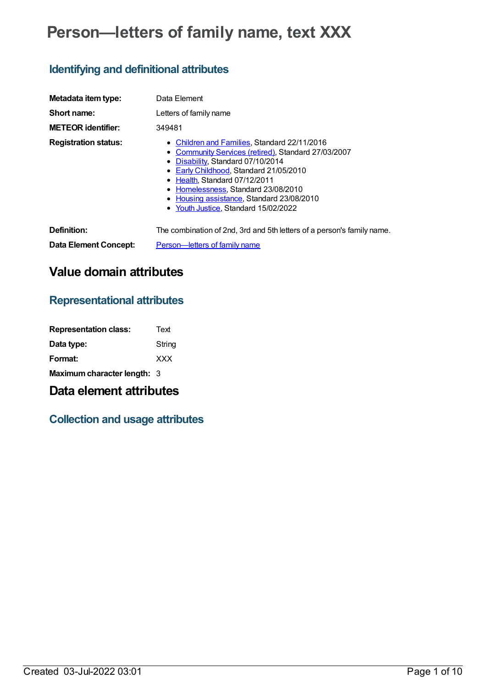# **Person—letters of family name, text XXX**

# **Identifying and definitional attributes**

| Metadata item type:          | Data Element                                                                                                                                                                                                                                                                                                                        |
|------------------------------|-------------------------------------------------------------------------------------------------------------------------------------------------------------------------------------------------------------------------------------------------------------------------------------------------------------------------------------|
| Short name:                  | Letters of family name                                                                                                                                                                                                                                                                                                              |
| <b>METEOR identifier:</b>    | 349481                                                                                                                                                                                                                                                                                                                              |
| <b>Registration status:</b>  | • Children and Families, Standard 22/11/2016<br>Community Services (retired), Standard 27/03/2007<br>• Disability, Standard 07/10/2014<br>Early Childhood, Standard 21/05/2010<br>Health, Standard 07/12/2011<br>Homelessness, Standard 23/08/2010<br>Housing assistance, Standard 23/08/2010<br>Youth Justice, Standard 15/02/2022 |
| Definition:                  | The combination of 2nd, 3rd and 5th letters of a person's family name.                                                                                                                                                                                                                                                              |
| <b>Data Element Concept:</b> | Person-letters of family name                                                                                                                                                                                                                                                                                                       |

# **Value domain attributes**

## **Representational attributes**

| <b>Representation class:</b> | Text       |
|------------------------------|------------|
| Data type:                   | String     |
| Format:                      | <b>XXX</b> |
| Maximum character length: 3  |            |

## **Data element attributes**

# **Collection and usage attributes**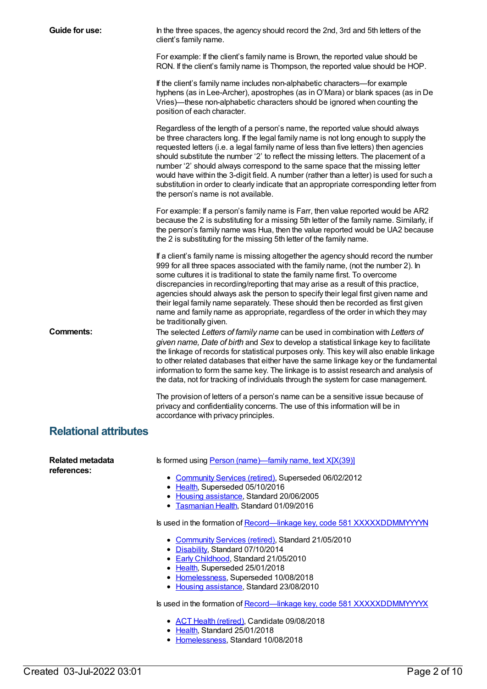| Guide for use:                         | In the three spaces, the agency should record the 2nd, 3rd and 5th letters of the<br>client's family name.                                                                                                                                                                                                                                                                                                                                                                                                                                                                                                                                                        |
|----------------------------------------|-------------------------------------------------------------------------------------------------------------------------------------------------------------------------------------------------------------------------------------------------------------------------------------------------------------------------------------------------------------------------------------------------------------------------------------------------------------------------------------------------------------------------------------------------------------------------------------------------------------------------------------------------------------------|
|                                        | For example: If the client's family name is Brown, the reported value should be<br>RON. If the client's family name is Thompson, the reported value should be HOP.                                                                                                                                                                                                                                                                                                                                                                                                                                                                                                |
|                                        | If the client's family name includes non-alphabetic characters-for example<br>hyphens (as in Lee-Archer), apostrophes (as in O'Mara) or blank spaces (as in De<br>Vries)—these non-alphabetic characters should be ignored when counting the<br>position of each character.                                                                                                                                                                                                                                                                                                                                                                                       |
|                                        | Regardless of the length of a person's name, the reported value should always<br>be three characters long. If the legal family name is not long enough to supply the<br>requested letters (i.e. a legal family name of less than five letters) then agencies<br>should substitute the number '2' to reflect the missing letters. The placement of a<br>number '2' should always correspond to the same space that the missing letter<br>would have within the 3-digit field. A number (rather than a letter) is used for such a<br>substitution in order to clearly indicate that an appropriate corresponding letter from<br>the person's name is not available. |
|                                        | For example: If a person's family name is Farr, then value reported would be AR2<br>because the 2 is substituting for a missing 5th letter of the family name. Similarly, if<br>the person's family name was Hua, then the value reported would be UA2 because<br>the 2 is substituting for the missing 5th letter of the family name.                                                                                                                                                                                                                                                                                                                            |
|                                        | If a client's family name is missing altogether the agency should record the number<br>999 for all three spaces associated with the family name, (not the number 2). In<br>some cultures it is traditional to state the family name first. To overcome<br>discrepancies in recording/reporting that may arise as a result of this practice,<br>agencies should always ask the person to specify their legal first given name and<br>their legal family name separately. These should then be recorded as first given<br>name and family name as appropriate, regardless of the order in which they may<br>be traditionally given.                                 |
| <b>Comments:</b>                       | The selected Letters of family name can be used in combination with Letters of<br>given name, Date of birth and Sex to develop a statistical linkage key to facilitate<br>the linkage of records for statistical purposes only. This key will also enable linkage<br>to other related databases that either have the same linkage key or the fundamental<br>information to form the same key. The linkage is to assist research and analysis of<br>the data, not for tracking of individuals through the system for case management.                                                                                                                              |
|                                        | The provision of letters of a person's name can be a sensitive issue because of<br>privacy and confidentiality concerns. The use of this information will be in<br>accordance with privacy principles.                                                                                                                                                                                                                                                                                                                                                                                                                                                            |
| <b>Relational attributes</b>           |                                                                                                                                                                                                                                                                                                                                                                                                                                                                                                                                                                                                                                                                   |
| <b>Related metadata</b><br>references: | Is formed using Person (name)-family name, text X[X(39)]                                                                                                                                                                                                                                                                                                                                                                                                                                                                                                                                                                                                          |
|                                        | • Community Services (retired), Superseded 06/02/2012<br>• Health, Superseded 05/10/2016<br>• Housing assistance, Standard 20/06/2005<br>• Tasmanian Health, Standard 01/09/2016                                                                                                                                                                                                                                                                                                                                                                                                                                                                                  |
|                                        | Is used in the formation of Record—linkage key, code 581 XXXXXDDMMYYYYN                                                                                                                                                                                                                                                                                                                                                                                                                                                                                                                                                                                           |
|                                        | • Community Services (retired), Standard 21/05/2010<br>• Disability, Standard 07/10/2014<br>• Early Childhood, Standard 21/05/2010<br>• Health, Superseded 25/01/2018                                                                                                                                                                                                                                                                                                                                                                                                                                                                                             |
|                                        | • Homelessness, Superseded 10/08/2018<br>• Housing assistance, Standard 23/08/2010                                                                                                                                                                                                                                                                                                                                                                                                                                                                                                                                                                                |
|                                        | Is used in the formation of Record-linkage key, code 581 XXXXXDDMMYYYYX                                                                                                                                                                                                                                                                                                                                                                                                                                                                                                                                                                                           |
|                                        | • ACT Health (retired), Candidate 09/08/2018<br>Health, Standard 25/01/2018                                                                                                                                                                                                                                                                                                                                                                                                                                                                                                                                                                                       |
|                                        | • Homelessness, Standard 10/08/2018                                                                                                                                                                                                                                                                                                                                                                                                                                                                                                                                                                                                                               |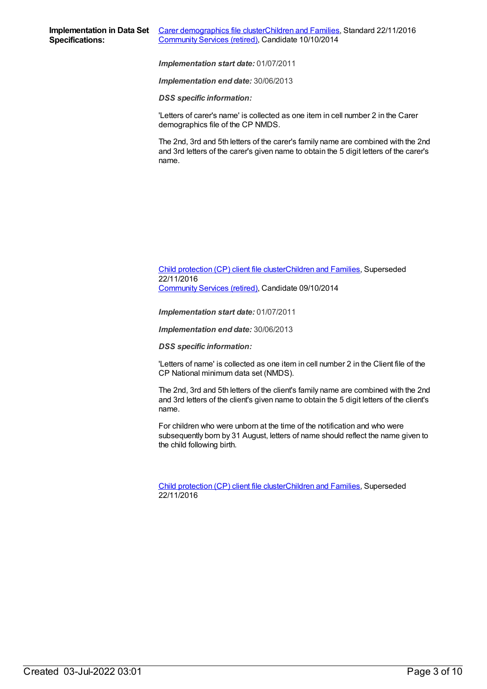*Implementation end date:* 30/06/2013

*DSS specific information:*

'Letters of carer's name' is collected as one item in cell number 2 in the Carer demographics file of the CP NMDS.

The 2nd, 3rd and 5th letters of the carer's family name are combined with the 2nd and 3rd letters of the carer's given name to obtain the 5 digit letters of the carer's name.

#### Child [protection](https://meteor.aihw.gov.au/content/492589) (CP) client file clusterChildren and [Families](https://meteor.aihw.gov.au/RegistrationAuthority/17), Superseded 22/11/2016 [Community](https://meteor.aihw.gov.au/RegistrationAuthority/1) Services (retired), Candidate 09/10/2014

*Implementation start date:* 01/07/2011

*Implementation end date:* 30/06/2013

*DSS specific information:*

'Letters of name' is collected as one item in cell number 2 in the Client file of the CP National minimum data set (NMDS).

The 2nd, 3rd and 5th letters of the client's family name are combined with the 2nd and 3rd letters of the client's given name to obtain the 5 digit letters of the client's name.

For children who were unborn at the time of the notification and who were subsequently born by 31 August, letters of name should reflect the name given to the child following birth.

Child [protection](https://meteor.aihw.gov.au/content/656475) (CP) client file clusterChildren and [Families](https://meteor.aihw.gov.au/RegistrationAuthority/17), Superseded 22/11/2016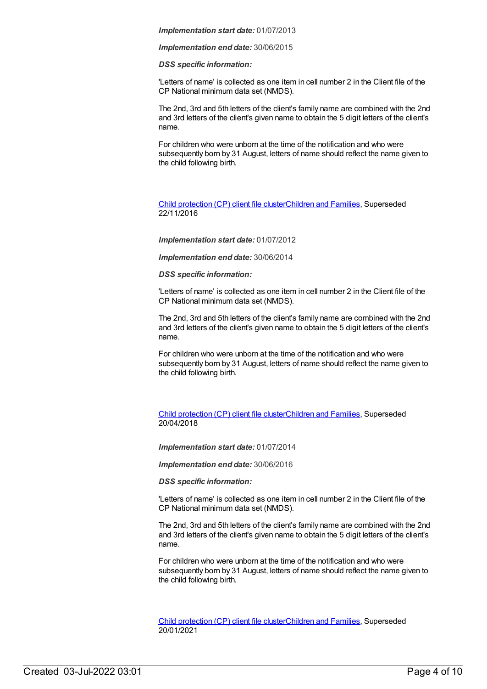*Implementation end date:* 30/06/2015

*DSS specific information:*

'Letters of name' is collected as one item in cell number 2 in the Client file of the CP National minimum data set (NMDS).

The 2nd, 3rd and 5th letters of the client's family name are combined with the 2nd and 3rd letters of the client's given name to obtain the 5 digit letters of the client's name.

For children who were unborn at the time of the notification and who were subsequently born by 31 August, letters of name should reflect the name given to the child following birth.

Child [protection](https://meteor.aihw.gov.au/content/655203) (CP) client file clusterChildren and [Families](https://meteor.aihw.gov.au/RegistrationAuthority/17), Superseded 22/11/2016

*Implementation start date:* 01/07/2012

*Implementation end date:* 30/06/2014

#### *DSS specific information:*

'Letters of name' is collected as one item in cell number 2 in the Client file of the CP National minimum data set (NMDS).

The 2nd, 3rd and 5th letters of the client's family name are combined with the 2nd and 3rd letters of the client's given name to obtain the 5 digit letters of the client's name.

For children who were unborn at the time of the notification and who were subsequently born by 31 August, letters of name should reflect the name given to the child following birth.

Child [protection](https://meteor.aihw.gov.au/content/656496) (CP) client file clusterChildren and [Families](https://meteor.aihw.gov.au/RegistrationAuthority/17), Superseded 20/04/2018

*Implementation start date:* 01/07/2014

*Implementation end date:* 30/06/2016

*DSS specific information:*

'Letters of name' is collected as one item in cell number 2 in the Client file of the CP National minimum data set (NMDS).

The 2nd, 3rd and 5th letters of the client's family name are combined with the 2nd and 3rd letters of the client's given name to obtain the 5 digit letters of the client's name.

For children who were unborn at the time of the notification and who were subsequently born by 31 August, letters of name should reflect the name given to the child following birth.

Child [protection](https://meteor.aihw.gov.au/content/688429) (CP) client file clusterChildren and [Families](https://meteor.aihw.gov.au/RegistrationAuthority/17), Superseded 20/01/2021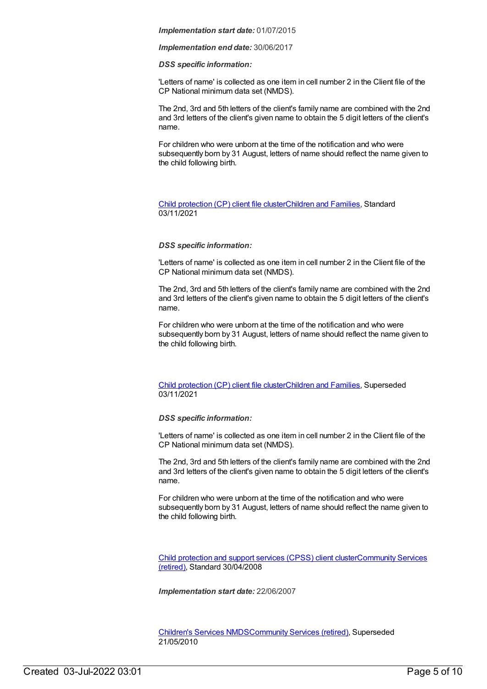*Implementation end date:* 30/06/2017

#### *DSS specific information:*

'Letters of name' is collected as one item in cell number 2 in the Client file of the CP National minimum data set (NMDS).

The 2nd, 3rd and 5th letters of the client's family name are combined with the 2nd and 3rd letters of the client's given name to obtain the 5 digit letters of the client's name.

For children who were unborn at the time of the notification and who were subsequently born by 31 August, letters of name should reflect the name given to the child following birth.

#### Child [protection](https://meteor.aihw.gov.au/content/748904) (CP) client file clusterChildren and [Families](https://meteor.aihw.gov.au/RegistrationAuthority/17), Standard 03/11/2021

#### *DSS specific information:*

'Letters of name' is collected as one item in cell number 2 in the Client file of the CP National minimum data set (NMDS).

The 2nd, 3rd and 5th letters of the client's family name are combined with the 2nd and 3rd letters of the client's given name to obtain the 5 digit letters of the client's name.

For children who were unborn at the time of the notification and who were subsequently born by 31 August, letters of name should reflect the name given to the child following birth.

#### Child [protection](https://meteor.aihw.gov.au/content/706958) (CP) client file clusterChildren and [Families](https://meteor.aihw.gov.au/RegistrationAuthority/17), Superseded 03/11/2021

#### *DSS specific information:*

'Letters of name' is collected as one item in cell number 2 in the Client file of the CP National minimum data set (NMDS).

The 2nd, 3rd and 5th letters of the client's family name are combined with the 2nd and 3rd letters of the client's given name to obtain the 5 digit letters of the client's name.

For children who were unborn at the time of the notification and who were subsequently born by 31 August, letters of name should reflect the name given to the child following birth.

Child [protection](https://meteor.aihw.gov.au/content/355790) and support services (CPSS) client [clusterCommunity](https://meteor.aihw.gov.au/RegistrationAuthority/1) Services (retired), Standard 30/04/2008

*Implementation start date:* 22/06/2007

[Children's](https://meteor.aihw.gov.au/content/308217) Services NMD[SCommunity](https://meteor.aihw.gov.au/RegistrationAuthority/1) Services (retired), Superseded 21/05/2010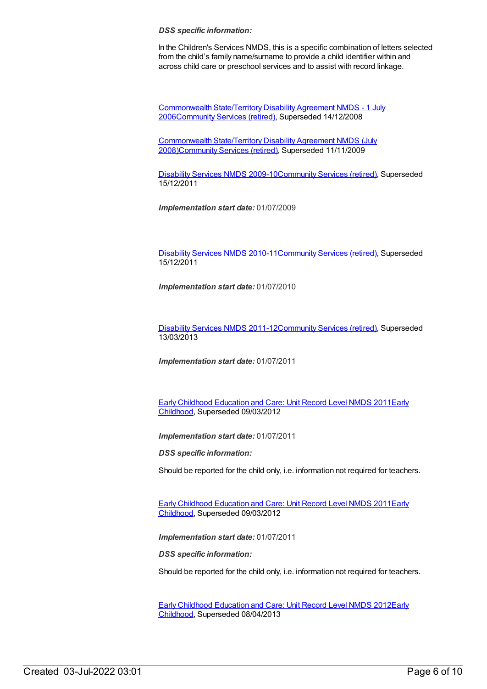#### *DSS specific information:*

In the Children's Services NMDS, this is a specific combination of letters selected from the child's family name/surname to provide a child identifier within and across child care or preschool services and to assist with record linkage.

[Commonwealth](https://meteor.aihw.gov.au/content/317350) State/Territory Disability Agreement NMDS - 1 July 200[6Community](https://meteor.aihw.gov.au/RegistrationAuthority/1) Services (retired), Superseded 14/12/2008

[Commonwealth](https://meteor.aihw.gov.au/content/372123) State/Territory Disability Agreement NMDS (July 2008[\)Community](https://meteor.aihw.gov.au/RegistrationAuthority/1) Services (retired), Superseded 11/11/2009

[Disability](https://meteor.aihw.gov.au/content/386485) Services NMDS 2009-10[Community](https://meteor.aihw.gov.au/RegistrationAuthority/1) Services (retired), Superseded 15/12/2011

*Implementation start date:* 01/07/2009

[Disability](https://meteor.aihw.gov.au/content/428708) Services NMDS 2010-11[Community](https://meteor.aihw.gov.au/RegistrationAuthority/1) Services (retired), Superseded 15/12/2011

*Implementation start date:* 01/07/2010

[Disability](https://meteor.aihw.gov.au/content/461636) Services NMDS 2011-12[Community](https://meteor.aihw.gov.au/RegistrationAuthority/1) Services (retired), Superseded 13/03/2013

*Implementation start date:* 01/07/2011

Early Childhood [Education](https://meteor.aihw.gov.au/content/438006) and Care: Unit Record Level NMDS 2011Early Childhood, [Superseded](https://meteor.aihw.gov.au/RegistrationAuthority/13) 09/03/2012

*Implementation start date:* 01/07/2011

*DSS specific information:*

Should be reported for the child only, i.e. information not required for teachers.

Early Childhood [Education](https://meteor.aihw.gov.au/content/438006) and Care: Unit Record Level NMDS 2011Early Childhood, [Superseded](https://meteor.aihw.gov.au/RegistrationAuthority/13) 09/03/2012

*Implementation start date:* 01/07/2011

*DSS specific information:*

Should be reported for the child only, i.e. information not required for teachers.

Early Childhood [Education](https://meteor.aihw.gov.au/content/466523) and Care: Unit Record Level NMDS 2012Early Childhood, [Superseded](https://meteor.aihw.gov.au/RegistrationAuthority/13) 08/04/2013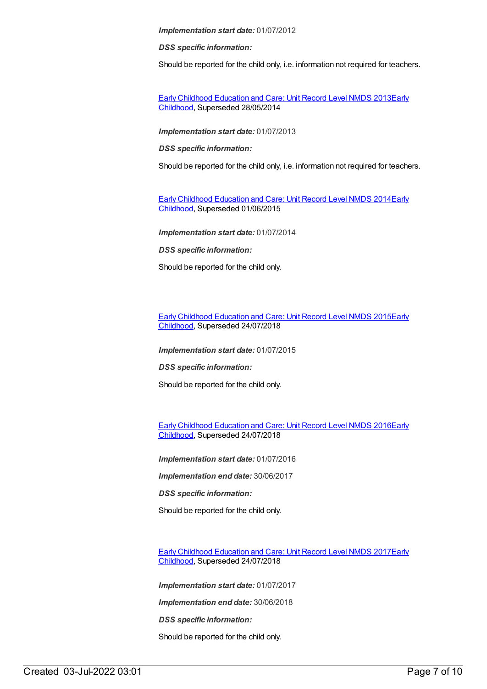*DSS specific information:*

Should be reported for the child only, i.e. information not required for teachers.

Early Childhood [Education](https://meteor.aihw.gov.au/content/494147) and Care: Unit Record Level NMDS 2013Early Childhood, [Superseded](https://meteor.aihw.gov.au/RegistrationAuthority/13) 28/05/2014

*Implementation start date:* 01/07/2013

*DSS specific information:*

Should be reported for the child only, i.e. information not required for teachers.

Early Childhood [Education](https://meteor.aihw.gov.au/content/555380) and Care: Unit Record Level NMDS 2014Early Childhood, [Superseded](https://meteor.aihw.gov.au/RegistrationAuthority/13) 01/06/2015

*Implementation start date:* 01/07/2014

*DSS specific information:*

Should be reported for the child only.

Early Childhood [Education](https://meteor.aihw.gov.au/content/602247) and Care: Unit Record Level NMDS 2015Early Childhood, [Superseded](https://meteor.aihw.gov.au/RegistrationAuthority/13) 24/07/2018

*Implementation start date:* 01/07/2015

*DSS specific information:*

Should be reported for the child only.

Early Childhood [Education](https://meteor.aihw.gov.au/content/686022) and Care: Unit Record Level NMDS 2016Early Childhood, [Superseded](https://meteor.aihw.gov.au/RegistrationAuthority/13) 24/07/2018

*Implementation start date:* 01/07/2016

*Implementation end date:* 30/06/2017

*DSS specific information:*

Should be reported for the child only.

Early Childhood [Education](https://meteor.aihw.gov.au/content/686135) and Care: Unit Record Level NMDS 2017Early Childhood, [Superseded](https://meteor.aihw.gov.au/RegistrationAuthority/13) 24/07/2018

*Implementation start date:* 01/07/2017

*Implementation end date:* 30/06/2018

*DSS specific information:*

Should be reported for the child only.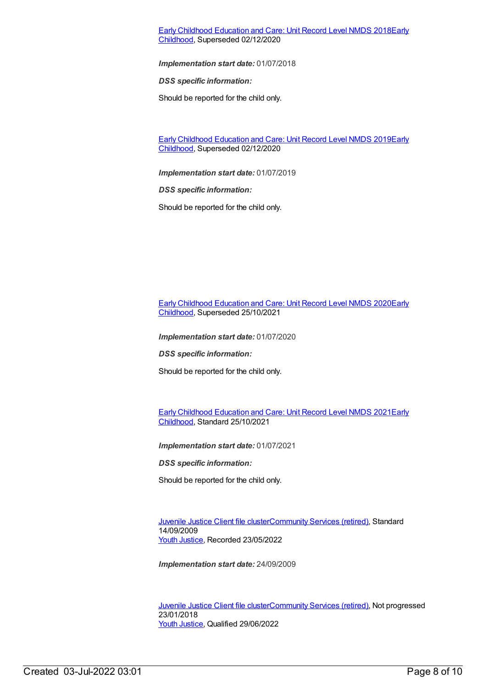#### Early Childhood [Education](https://meteor.aihw.gov.au/content/686221) and Care: Unit Record Level NMDS 2018Early Childhood, [Superseded](https://meteor.aihw.gov.au/RegistrationAuthority/13) 02/12/2020

*Implementation start date:* 01/07/2018

*DSS specific information:*

Should be reported for the child only.

Early Childhood [Education](https://meteor.aihw.gov.au/content/731157) and Care: Unit Record Level NMDS 2019Early Childhood, [Superseded](https://meteor.aihw.gov.au/RegistrationAuthority/13) 02/12/2020

*Implementation start date:* 01/07/2019

*DSS specific information:*

Should be reported for the child only.

Early Childhood [Education](https://meteor.aihw.gov.au/RegistrationAuthority/13) and Care: Unit Record Level NMDS 2020Early Childhood, Superseded 25/10/2021

*Implementation start date:* 01/07/2020

*DSS specific information:*

Should be reported for the child only.

Early Childhood [Education](https://meteor.aihw.gov.au/RegistrationAuthority/13) and Care: Unit Record Level NMDS 2021Early Childhood, Standard 25/10/2021

*Implementation start date:* 01/07/2021

*DSS specific information:*

Should be reported for the child only.

[Juvenile](https://meteor.aihw.gov.au/content/386845) Justice Client file cluste[rCommunity](https://meteor.aihw.gov.au/RegistrationAuthority/1) Services (retired), Standard 14/09/2009 Youth [Justice](https://meteor.aihw.gov.au/RegistrationAuthority/4), Recorded 23/05/2022

*Implementation start date:* 24/09/2009

[Juvenile](https://meteor.aihw.gov.au/content/513199) Justice Client file cluste[rCommunity](https://meteor.aihw.gov.au/RegistrationAuthority/1) Services (retired), Not progressed 23/01/2018 Youth [Justice](https://meteor.aihw.gov.au/RegistrationAuthority/4), Qualified 29/06/2022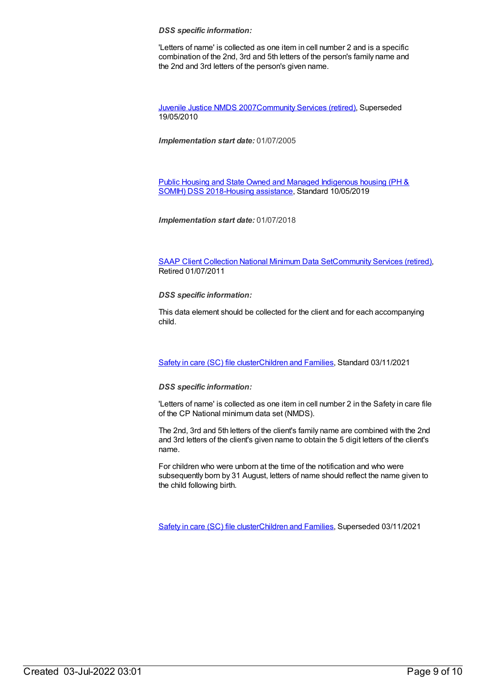#### *DSS specific information:*

'Letters of name' is collected as one item in cell number 2 and is a specific combination of the 2nd, 3rd and 5th letters of the person's family name and the 2nd and 3rd letters of the person's given name.

[Juvenile](https://meteor.aihw.gov.au/content/314122) Justice NMDS 200[7Community](https://meteor.aihw.gov.au/RegistrationAuthority/1) Services (retired), Superseded 19/05/2010

*Implementation start date:* 01/07/2005

Public Housing and State Owned and Managed Indigenous housing (PH & SOMIH) DSS [2018-Housing](https://meteor.aihw.gov.au/content/711016) [assistance](https://meteor.aihw.gov.au/RegistrationAuthority/11), Standard 10/05/2019

*Implementation start date:* 01/07/2018

SAAP Client [Collection](https://meteor.aihw.gov.au/content/339019) National Minimum Data Se[tCommunity](https://meteor.aihw.gov.au/RegistrationAuthority/1) Services (retired), Retired 01/07/2011

*DSS specific information:*

This data element should be collected for the client and for each accompanying child.

[Safety](https://meteor.aihw.gov.au/content/748884) in care (SC) file cluste[rChildren](https://meteor.aihw.gov.au/RegistrationAuthority/17) and Families, Standard 03/11/2021

#### *DSS specific information:*

'Letters of name' is collected as one item in cell number 2 in the Safety in care file of the CP National minimum data set (NMDS).

The 2nd, 3rd and 5th letters of the client's family name are combined with the 2nd and 3rd letters of the client's given name to obtain the 5 digit letters of the client's name.

For children who were unborn at the time of the notification and who were subsequently born by 31 August, letters of name should reflect the name given to the child following birth.

[Safety](https://meteor.aihw.gov.au/content/740182) in care (SC) file cluste[rChildren](https://meteor.aihw.gov.au/RegistrationAuthority/17) and Families, Superseded 03/11/2021